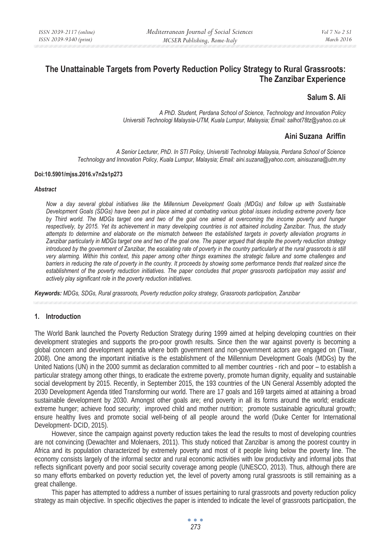# **The Unattainable Targets from Poverty Reduction Policy Strategy to Rural Grassroots: The Zanzibar Experience**

## **Salum S. Ali**

*A PhD. Student, Perdana School of Science, Technology and Innovation Policy Universiti Technologi Malaysia-UTM, Kuala Lumpur, Malaysia; Email: salhot78tz@yahoo.co.uk* 

## **Aini Suzana Ariffin**

*A Senior Lecturer, PhD. In STI Policy, Universiti Technologi Malaysia, Perdana School of Science Technology and Innovation Policy, Kuala Lumpur, Malaysia; Email: aini.suzana@yahoo.com, ainisuzana@utm.my* 

#### **Doi:10.5901/mjss.2016.v7n2s1p273**

#### *Abstract*

*Now a day several global initiatives like the Millennium Development Goals (MDGs) and follow up with Sustainable Development Goals (SDGs) have been put in place aimed at combating various global issues including extreme poverty face*  by Third world. The MDGs target one and two of the goal one aimed at overcoming the income poverty and hunger *respectively, by 2015. Yet its achievement in many developing countries is not attained including Zanzibar. Thus, the study attempts to determine and elaborate on the mismatch between the established targets in poverty alleviation programs in Zanzibar particularly in MDGs target one and two of the goal one. The paper argued that despite the poverty reduction strategy*  introduced by the government of Zanzibar, the escalating rate of poverty in the country particularly at the rural grassroots is still *very alarming. Within this context, this paper among other things examines the strategic failure and some challenges and barriers in reducing the rate of poverty in the country. It proceeds by showing some performance trends that realized since the establishment of the poverty reduction initiatives. The paper concludes that proper grassroots participation may assist and actively play significant role in the poverty reduction initiatives.* 

*Keywords: MDGs, SDGs, Rural grassroots, Poverty reduction policy strategy, Grassroots participation, Zanzibar* 

#### **1. Introduction**

The World Bank launched the Poverty Reduction Strategy during 1999 aimed at helping developing countries on their development strategies and supports the pro-poor growth results. Since then the war against poverty is becoming a global concern and development agenda where both government and non-government actors are engaged on (Tiwar, 2008). One among the important initiative is the establishment of the Millennium Development Goals (MDGs) by the United Nations (UN) in the 2000 summit as declaration committed to all member countries - rich and poor – to establish a particular strategy among other things, to eradicate the extreme poverty, promote human dignity, equality and sustainable social development by 2015. Recently, in September 2015, the 193 countries of the UN General Assembly adopted the 2030 Development Agenda titled Transforming our world. There are 17 goals and 169 targets aimed at attaining a broad sustainable development by 2030. Amongst other goals are; end poverty in all its forms around the world; eradicate extreme hunger; achieve food security; improved child and mother nutrition; promote sustainable agricultural growth; ensure healthy lives and promote social well-being of all people around the world (Duke Center for International Development- DCID, 2015).

However, since the campaign against poverty reduction takes the lead the results to most of developing countries are not convincing (Dewachter and Molenaers, 2011). This study noticed that Zanzibar is among the poorest country in Africa and its population characterized by extremely poverty and most of it people living below the poverty line. The economy consists largely of the informal sector and rural economic activities with low productivity and informal jobs that reflects significant poverty and poor social security coverage among people (UNESCO, 2013). Thus, although there are so many efforts embarked on poverty reduction yet, the level of poverty among rural grassroots is still remaining as a great challenge.

This paper has attempted to address a number of issues pertaining to rural grassroots and poverty reduction policy strategy as main objective. In specific objectives the paper is intended to indicate the level of grassroots participation, the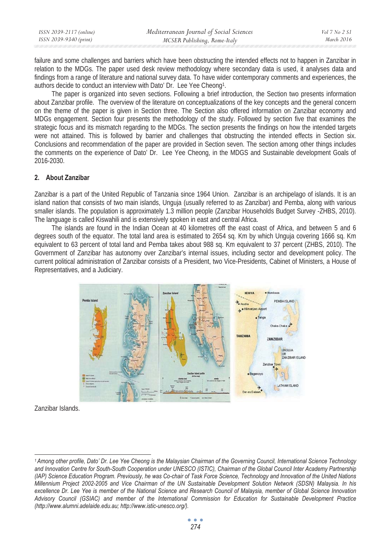| ISSN 2039-2117 (online) | Mediterranean Journal of Social Sciences | Vol 7 No 2 SI |
|-------------------------|------------------------------------------|---------------|
| ISSN 2039-9340 (print)  | MCSER Publishing, Rome-Italy             | March 2016    |
|                         |                                          |               |

failure and some challenges and barriers which have been obstructing the intended effects not to happen in Zanzibar in relation to the MDGs. The paper used desk review methodology where secondary data is used, it analyses data and findings from a range of literature and national survey data. To have wider contemporary comments and experiences, the authors decide to conduct an interview with Dato' Dr. Lee Yee Cheong1.

The paper is organized into seven sections. Following a brief introduction, the Section two presents information about Zanzibar profile. The overview of the literature on conceptualizations of the key concepts and the general concern on the theme of the paper is given in Section three. The Section also offered information on Zanzibar economy and MDGs engagement. Section four presents the methodology of the study. Followed by section five that examines the strategic focus and its mismatch regarding to the MDGs. The section presents the findings on how the intended targets were not attained. This is followed by barrier and challenges that obstructing the intended effects in Section six. Conclusions and recommendation of the paper are provided in Section seven. The section among other things includes the comments on the experience of Dato' Dr. Lee Yee Cheong, in the MDGS and Sustainable development Goals of 2016-2030.

#### **2. About Zanzibar**

Zanzibar is a part of the United Republic of Tanzania since 1964 Union. Zanzibar is an archipelago of islands. It is an island nation that consists of two main islands, Unguja (usually referred to as Zanzibar) and Pemba, along with various smaller islands. The population is approximately 1.3 million people (Zanzibar Households Budget Survey -ZHBS, 2010). The language is called Kiswahili and is extensively spoken in east and central Africa.

The islands are found in the Indian Ocean at 40 kilometres off the east coast of Africa, and between 5 and 6 degrees south of the equator. The total land area is estimated to 2654 sq. Km by which Unguja covering 1666 sq. Km equivalent to 63 percent of total land and Pemba takes about 988 sq. Km equivalent to 37 percent (ZHBS, 2010). The Government of Zanzibar has autonomy over Zanzibar's internal issues, including sector and development policy. The current political administration of Zanzibar consists of a President, two Vice-Presidents, Cabinet of Ministers, a House of Representatives, and a Judiciary.



Zanzibar Islands.

*<sup>1</sup> Among other profile, Dato' Dr. Lee Yee Cheong is the Malaysian Chairman of the Governing Council, International Science Technology*  and Innovation Centre for South-South Cooperation under UNESCO (ISTIC), Chairman of the Global Council Inter Academy Partnership *(IAP) Science Education Program. Previously, he was Co-chair of Task Force Science, Technology and Innovation of the United Nations Millennium Project 2002-2005 and Vice Chairman of the UN Sustainable Development Solution Network (SDSN) Malaysia. In his excellence Dr. Lee Yee is member of the National Science and Research Council of Malaysia, member of Global Science Innovation Advisory Council (GSIAC) and member of the International Commission for Education for Sustainable Development Practice (http://www.alumni.adelaide.edu.au; http://www.istic-unesco.org/).*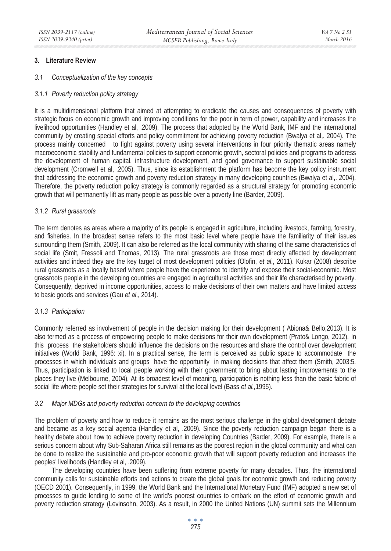### **3. Literature Review**

#### *3.1 Conceptualization of the key concepts*

#### *3.1.1 Poverty reduction policy strategy*

It is a multidimensional platform that aimed at attempting to eradicate the causes and consequences of poverty with strategic focus on economic growth and improving conditions for the poor in term of power, capability and increases the livelihood opportunities (Handley et al, .2009). The process that adopted by the World Bank, IMF and the international community by creating special efforts and policy commitment for achieving poverty reduction (Bwalya et al,. 2004). The process mainly concerned to fight against poverty using several interventions in four priority thematic areas namely macroeconomic stability and fundamental policies to support economic growth, sectoral policies and programs to address the development of human capital, infrastructure development, and good governance to support sustainable social development (Cromwell et al, .2005). Thus, since its establishment the platform has become the key policy instrument that addressing the economic growth and poverty reduction strategy in many developing countries (Bwalya et al,. 2004). Therefore, the poverty reduction policy strategy is commonly regarded as a structural strategy for promoting economic growth that will permanently lift as many people as possible over a poverty line (Barder, 2009).

#### *3.1.2 Rural grassroots*

The term denotes as areas where a majority of its people is engaged in agriculture, including livestock, farming, forestry, and fisheries. In the broadest sense refers to the most basic level where people have the familiarity of their issues surrounding them (Smith, 2009). It can also be referred as the local community with sharing of the same characteristics of social life (Smit, Fressoli and Thomas, 2013). The rural grassroots are those most directly affected by development activities and indeed they are the key target of most development policies (Olofin, *et al*., 2011). Kukar (2008) describe rural grassroots as a locally based where people have the experience to identify and expose their social-economic. Most grassroots people in the developing countries are engaged in agricultural activities and their life characterised by poverty. Consequently, deprived in income opportunities, access to make decisions of their own matters and have limited access to basic goods and services (Gau *et al*., 2014).

#### *3.1.3 Participation*

Commonly referred as involvement of people in the decision making for their development ( Abiona& Bello,2013). It is also termed as a process of empowering people to make decisions for their own development (Prato& Longo, 2012). In this process the stakeholders should influence the decisions on the resources and share the control over development initiatives (World Bank, 1996: xi). In a practical sense, the term is perceived as public space to accommodate the processes in which individuals and groups have the opportunity in making decisions that affect them (Smith, 2003:5. Thus, participation is linked to local people working with their government to bring about lasting improvements to the places they live (Melbourne, 2004). At its broadest level of meaning, participation is nothing less than the basic fabric of social life where people set their strategies for survival at the local level (Bass *et al.,*1995).

#### *3.2 Major MDGs and poverty reduction concern to the developing countries*

The problem of poverty and how to reduce it remains as the most serious challenge in the global development debate and became as a key social agenda (Handley et al, .2009). Since the poverty reduction campaign began there is a healthy debate about how to achieve poverty reduction in developing Countries (Barder, 2009). For example, there is a serious concern about why Sub-Saharan Africa still remains as the poorest region in the global community and what can be done to realize the sustainable and pro-poor economic growth that will support poverty reduction and increases the peoples' livelihoods (Handley et al, .2009).

The developing countries have been suffering from extreme poverty for many decades. Thus, the international community calls for sustainable efforts and actions to create the global goals for economic growth and reducing poverty (OECD 2001). Consequently, in 1999, the World Bank and the International Monetary Fund (IMF) adopted a new set of processes to guide lending to some of the world's poorest countries to embark on the effort of economic growth and poverty reduction strategy (Levinsohn, 2003). As a result, in 2000 the United Nations (UN) summit sets the Millennium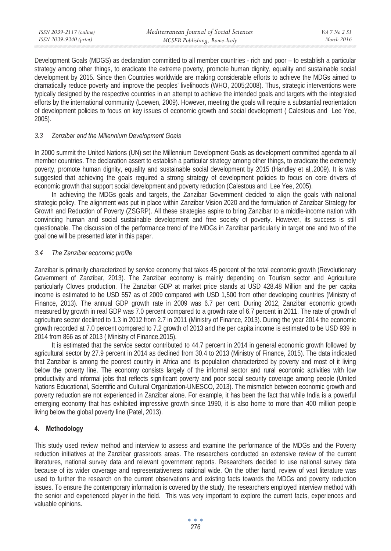Development Goals (MDGS) as declaration committed to all member countries - rich and poor – to establish a particular strategy among other things, to eradicate the extreme poverty, promote human dignity, equality and sustainable social development by 2015. Since then Countries worldwide are making considerable efforts to achieve the MDGs aimed to dramatically reduce poverty and improve the peoples' livelihoods (WHO, 2005;2008). Thus, strategic interventions were typically designed by the respective countries in an attempt to achieve the intended goals and targets with the integrated efforts by the international community (Loewen, 2009). However, meeting the goals will require a substantial reorientation of development policies to focus on key issues of economic growth and social development ( Calestous and Lee Yee, 2005).

### *3.3 Zanzibar and the Millennium Development Goals*

In 2000 summit the United Nations (UN) set the Millennium Development Goals as development committed agenda to all member countries. The declaration assert to establish a particular strategy among other things, to eradicate the extremely poverty, promote human dignity, equality and sustainable social development by 2015 (Handley et al,.2009). It is was suggested that achieving the goals required a strong strategy of development policies to focus on core drivers of economic growth that support social development and poverty reduction (Calestous and Lee Yee, 2005).

In achieving the MDGs goals and targets, the Zanzibar Government decided to align the goals with national strategic policy. The alignment was put in place within Zanzibar Vision 2020 and the formulation of Zanzibar Strategy for Growth and Reduction of Poverty (ZSGRP). All these strategies aspire to bring Zanzibar to a middle-income nation with convincing human and social sustainable development and free society of poverty. However, its success is still questionable. The discussion of the performance trend of the MDGs in Zanzibar particularly in target one and two of the goal one will be presented later in this paper.

### *3.4 The Zanzibar economic profile*

Zanzibar is primarily characterized by service economy that takes 45 percent of the total economic growth (Revolutionary Government of Zanzibar, 2013). The Zanzibar economy is mainly depending on Tourism sector and Agriculture particularly Cloves production. The Zanzibar GDP at market price stands at USD 428.48 Million and the per capita income is estimated to be USD 557 as of 2009 compared with USD 1,500 from other developing countries (Ministry of Finance, 2013). The annual GDP growth rate in 2009 was 6.7 per cent. During 2012, Zanzibar economic growth measured by growth in real GDP was 7.0 percent compared to a growth rate of 6.7 percent in 2011. The rate of growth of agriculture sector declined to 1.3 in 2012 from 2.7 in 2011 (Ministry of Finance, 2013). During the year 2014 the economic growth recorded at 7.0 percent compared to 7.2 growth of 2013 and the per capita income is estimated to be USD 939 in 2014 from 866 as of 2013 ( Ministry of Finance,2015).

It is estimated that the service sector contributed to 44.7 percent in 2014 in general economic growth followed by agricultural sector by 27.9 percent in 2014 as declined from 30.4 to 2013 (Ministry of Finance, 2015). The data indicated that Zanzibar is among the poorest country in Africa and its population characterized by poverty and most of it living below the poverty line. The economy consists largely of the informal sector and rural economic activities with low productivity and informal jobs that reflects significant poverty and poor social security coverage among people (United Nations Educational, Scientific and Cultural Organization-UNESCO, 2013). The mismatch between economic growth and poverty reduction are not experienced in Zanzibar alone. For example, it has been the fact that while India is a powerful emerging economy that has exhibited impressive growth since 1990, it is also home to more than 400 million people living below the global poverty line (Patel, 2013).

### **4. Methodology**

This study used review method and interview to assess and examine the performance of the MDGs and the Poverty reduction initiatives at the Zanzibar grassroots areas. The researchers conducted an extensive review of the current literatures, national survey data and relevant government reports. Researchers decided to use national survey data because of its wider coverage and representativeness national wide. On the other hand, review of vast literature was used to further the research on the current observations and existing facts towards the MDGs and poverty reduction issues. To ensure the contemporary information is covered by the study, the researchers employed interview method with the senior and experienced player in the field. This was very important to explore the current facts, experiences and valuable opinions.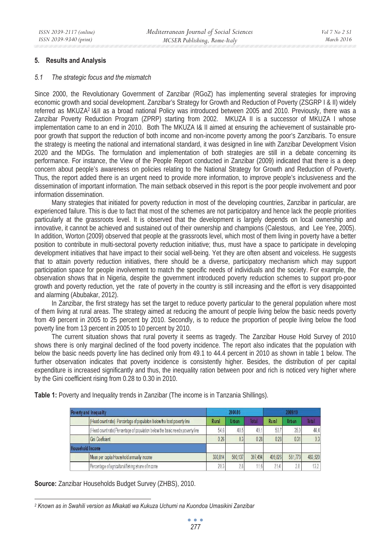#### **5. Results and Analysis**

#### *5.1 The strategic focus and the mismatch*

Since 2000, the Revolutionary Government of Zanzibar (RGoZ) has implementing several strategies for improving economic growth and social development. Zanzibar's Strategy for Growth and Reduction of Poverty (ZSGRP I & II) widely referred as MKUZA2 I&II as a broad national Policy was introduced between 2005 and 2010. Previously, there was a Zanzibar Poverty Reduction Program (ZPRP) starting from 2002. MKUZA II is a successor of MKUZA I whose implementation came to an end in 2010. Both The MKUZA I& II aimed at ensuring the achievement of sustainable propoor growth that support the reduction of both income and non-income poverty among the poor's Zanzibaris. To ensure the strategy is meeting the national and international standard, it was designed in line with Zanzibar Development Vision 2020 and the MDGs. The formulation and implementation of both strategies are still in a debate concerning its performance. For instance, the View of the People Report conducted in Zanzibar (2009) indicated that there is a deep concern about people's awareness on policies relating to the National Strategy for Growth and Reduction of Poverty. Thus, the report added there is an urgent need to provide more information, to improve people's inclusiveness and the dissemination of important information. The main setback observed in this report is the poor people involvement and poor information dissemination.

Many strategies that initiated for poverty reduction in most of the developing countries, Zanzibar in particular, are experienced failure. This is due to fact that most of the schemes are not participatory and hence lack the people priorities particularly at the grassroots level. It is observed that the development is largely depends on local ownership and innovative, it cannot be achieved and sustained out of their ownership and champions (Calestous, and Lee Yee, 2005). In addition, Worton (2009) observed that people at the grassroots level, which most of them living in poverty have a better position to contribute in multi-sectoral poverty reduction initiative; thus, must have a space to participate in developing development initiatives that have impact to their social well-being. Yet they are often absent and voiceless. He suggests that to attain poverty reduction initiatives, there should be a diverse, participatory mechanism which may support participation space for people involvement to match the specific needs of individuals and the society. For example, the observation shows that in Nigeria, despite the government introduced poverty reduction schemes to support pro-poor growth and poverty reduction, yet the rate of poverty in the country is still increasing and the effort is very disappointed and alarming (Abubakar, 2012).

In Zanzibar, the first strategy has set the target to reduce poverty particular to the general population where most of them living at rural areas. The strategy aimed at reducing the amount of people living below the basic needs poverty from 49 percent in 2005 to 25 percent by 2010. Secondly, is to reduce the proportion of people living below the food poverty line from 13 percent in 2005 to 10 percent by 2010.

The current situation shows that rural poverty it seems as tragedy. The Zanzibar House Hold Survey of 2010 shows there is only marginal declined of the food poverty incidence. The report also indicates that the population with below the basic needs poverty line has declined only from 49.1 to 44.4 percent in 2010 as shown in table 1 below. The further observation indicates that poverty incidence is consistently higher. Besides, the distribution of per capital expenditure is increased significantly and thus, the inequality ration between poor and rich is noticed very higher where by the Gini coefficient rising from 0.28 to 0.30 in 2010.

Table 1: Poverty and Inequality trends in Zanzibar (The income is in Tanzania Shillings).

| Poverty and Inequality  |                                                                                | 2004/05 |         |         | 2009/10 |         |         |
|-------------------------|--------------------------------------------------------------------------------|---------|---------|---------|---------|---------|---------|
|                         | (Head count ratio) Percentage of population below he food poverty line         | Rural   | Urban   | Total   | Rural   | Urban   | Total   |
|                         | (Head count ratio) Percentage of population below the basic needs poverty line | 54.6    | 40.5    | 49.     | 50.7    | 35.9    | 44.4    |
|                         | Gni Coefficient                                                                | 0.26    | 0.3     | 0.28    | 028     | 031     | 0.3     |
| <b>Household Income</b> |                                                                                |         |         |         |         |         |         |
|                         | Mean per capita Household annually income                                      | 330814  | 500.137 | 397.494 | 409.826 | 581.773 | 483.520 |
|                         | Percentage of agricultural/fishing share of income                             | 20.3    |         | 11.6    | 21.4    | 2.8     | 13.2    |

**Source:** Zanzibar Households Budget Survey (ZHBS), 2010.

*<sup>2</sup> Known as in Swahili version as Mkakati wa Kukuza Uchumi na Kuondoa Umasikini Zanzibar*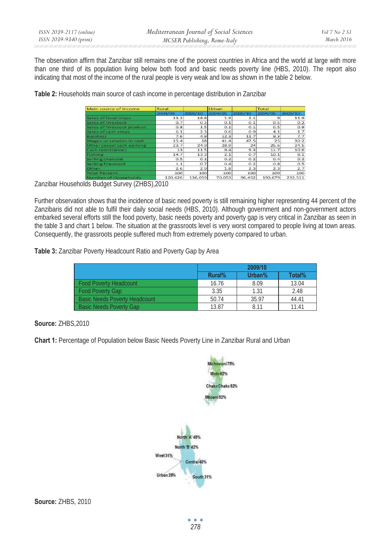The observation affirm that Zanzibar still remains one of the poorest countries in Africa and the world at large with more than one third of its population living below both food and basic needs poverty line (HBS, 2010). The report also indicating that most of the income of the rural people is very weak and low as shown in the table 2 below.

**Table 2:** Households main source of cash income in percentage distribution in Zanzibar

| Main source of income      | Rural   |         | Urban   |         | Total   |         |
|----------------------------|---------|---------|---------|---------|---------|---------|
|                            | 2004/05 | 2009/10 | 2004/05 | 2009/10 | 2004/05 | 2009/10 |
| Sales of food crops        | 13.2    | 18.8    | 1.9     | 2.1     | $\circ$ | 11.9    |
| Sales of livestock         | O.7     | O.3     | O.1     | O.1     | 0.5     | 0.2     |
| Sales of livestock product | 0.8     | 1.5     | 0.1     | O.1     | 0.5     | 0.9     |
| Sales of cash crops        | 6.1     | 2.3     | 0.6     | 0.9     | 4.1     | 1.7     |
| <b>Business</b>            | 7.6     | 4.9     | 12.3    | 11.7    | 9.3     | 7.7     |
| Wages or salaries in cash  | 15.4    | 18      | 41.4    | 47.5    | 25      | 30.2    |
| Other casual cash earning  | 23.7    | 24.9    | 28.9    | 24      | 25.6    | 24.5    |
| Cash remittances           | 13      | 11.5    | 9.4     | 9.3     | 11.7    | 10.6    |
| Fishing                    | 14.7    | 13.3    | 2.1     | 0.7     | 10.1    | 8.1     |
| Selling charcoal           | 0.5     | O.1     | 0.2     | O.2     | Q.4     | 0.2     |
| Selling firewood           | 1.1     | O.7     | 0.4     | O.2     | 0.8     | 0.5     |
| Other                      | 2.6     | 2.9     | 1.8     | 2.3     | 2.3     | 2.7     |
| <b>Total Percent</b>       | 100     | 100     | 100     | 100     | 100     | 100     |
| Number of Housebolds       | 120.626 | 136.059 | 70.053  | 96 452  | 190.679 | 232511  |

Zanzibar Households Budget Survey (ZHBS),2010

Further observation shows that the incidence of basic need poverty is still remaining higher representing 44 percent of the Zanzibaris did not able to fulfil their daily social needs (HBS, 2010). Although government and non-government actors embarked several efforts still the food poverty, basic needs poverty and poverty gap is very critical in Zanzibar as seen in the table 3 and chart 1 below. The situation at the grassroots level is very worst compared to people living at town areas. Consequently, the grassroots people suffered much from extremely poverty compared to urban.

**Table 3:** Zanzibar Poverty Headcount Ratio and Poverty Gap by Area

|                                      | 2009/10 |        |        |  |
|--------------------------------------|---------|--------|--------|--|
|                                      | Rural%  | Urban% | Total% |  |
| <b>Food Poverty Headcount</b>        | 16.76   | 8.09   | 13.04  |  |
| <b>Food Poverty Gap</b>              | 3.35    | 1.31   | 2.48   |  |
| <b>Basic Needs Poverty Headcount</b> | 50.74   | 35.97  | 44.41  |  |
| <b>Basic Needs Poverty Gap</b>       | 13.87   | 8.11   | 11.41  |  |

**Source:** ZHBS,2010

**Chart 1:** Percentage of Population below Basic Needs Poverty Line in Zanzibar Rural and Urban



**Source:** ZHBS, 2010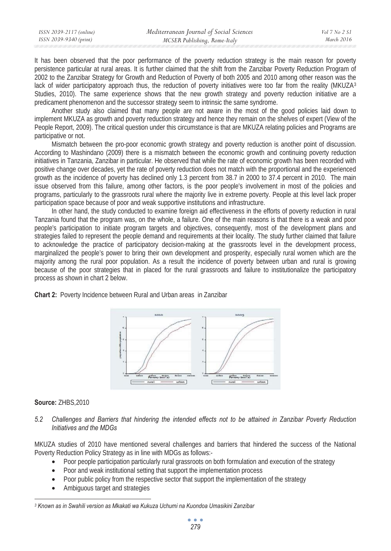| ISSN 2039-2117 (online) | Mediterranean Journal of Social Sciences | Vol 7 No 2 S1 |
|-------------------------|------------------------------------------|---------------|
| ISSN 2039-9340 (print)  | MCSER Publishing, Rome-Italy             | March 2016    |

It has been observed that the poor performance of the poverty reduction strategy is the main reason for poverty persistence particular at rural areas. It is further claimed that the shift from the Zanzibar Poverty Reduction Program of 2002 to the Zanzibar Strategy for Growth and Reduction of Poverty of both 2005 and 2010 among other reason was the lack of wider participatory approach thus, the reduction of poverty initiatives were too far from the reality (MKUZA3 Studies, 2010). The same experience shows that the new growth strategy and poverty reduction initiative are a predicament phenomenon and the successor strategy seem to intrinsic the same syndrome.

Another study also claimed that many people are not aware in the most of the good policies laid down to implement MKUZA as growth and poverty reduction strategy and hence they remain on the shelves of expert (View of the People Report, 2009). The critical question under this circumstance is that are MKUZA relating policies and Programs are participative or not.

Mismatch between the pro-poor economic growth strategy and poverty reduction is another point of discussion. According to Mashindano (2009) there is a mismatch between the economic growth and continuing poverty reduction initiatives in Tanzania, Zanzibar in particular. He observed that while the rate of economic growth has been recorded with positive change over decades, yet the rate of poverty reduction does not match with the proportional and the experienced growth as the incidence of poverty has declined only 1.3 percent from 38.7 in 2000 to 37.4 percent in 2010. The main issue observed from this failure, among other factors, is the poor people's involvement in most of the policies and programs, particularly to the grassroots rural where the majority live in extreme poverty. People at this level lack proper participation space because of poor and weak supportive institutions and infrastructure.

In other hand, the study conducted to examine foreign aid effectiveness in the efforts of poverty reduction in rural Tanzania found that the program was, on the whole, a failure. One of the main reasons is that there is a weak and poor people's participation to initiate program targets and objectives, consequently, most of the development plans and strategies failed to represent the people demand and requirements at their locality. The study further claimed that failure to acknowledge the practice of participatory decision-making at the grassroots level in the development process, marginalized the people's power to bring their own development and prosperity, especially rural women which are the majority among the rural poor population. As a result the incidence of poverty between urban and rural is growing because of the poor strategies that in placed for the rural grassroots and failure to institutionalize the participatory process as shown in chart 2 below.



**Chart 2:** Poverty Incidence between Rural and Urban areas in Zanzibar

### **Source:** ZHBS,2010

*5.2 Challenges and Barriers that hindering the intended effects not to be attained in Zanzibar Poverty Reduction Initiatives and the MDGs* 

MKUZA studies of 2010 have mentioned several challenges and barriers that hindered the success of the National Poverty Reduction Policy Strategy as in line with MDGs as follows:-

- Poor people participation particularly rural grassroots on both formulation and execution of the strategy
- Poor and weak institutional setting that support the implementation process
- Poor public policy from the respective sector that support the implementation of the strategy
- Ambiguous target and strategies

*<sup>3</sup> Known as in Swahili version as Mkakati wa Kukuza Uchumi na Kuondoa Umasikini Zanzibar*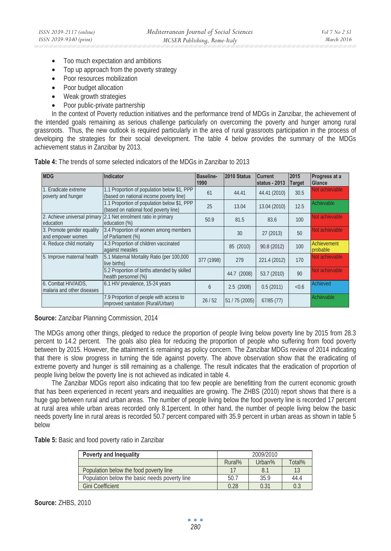- Too much expectation and ambitions
- Top up approach from the poverty strategy
- Poor resources mobilization
- Poor budget allocation
- Weak growth strategies
- Poor public-private partnership

In the context of Poverty reduction initiatives and the performance trend of MDGs in Zanzibar, the achievement of the intended goals remaining as serious challenge particularly on overcoming the poverty and hunger among rural grassroots. Thus, the new outlook is required particularly in the area of rural grassroots participation in the process of developing the strategies for their social development. The table 4 below provides the summary of the MDGs achievement status in Zanzibar by 2013.

| <b>MDG</b>                                        | Indicator                                                                              | Baseline-<br>1990 | 2010 Status    | <b>Current</b><br>status - 2013 | 2015<br>Target | Progress at a<br>Glance |
|---------------------------------------------------|----------------------------------------------------------------------------------------|-------------------|----------------|---------------------------------|----------------|-------------------------|
| 1. Fradicate extreme<br>poverty and hunger        | 1.1 Proportion of population below \$1, PPP<br>(based on national income poverty line) | 61                | 44.41          | 44.41 (2010)                    | 30.5           | Not achievable          |
|                                                   | 1.1 Proportion of population below \$1, PPP<br>(based on national food poverty line)   | 25                | 13.04          | 13.04 (2010)                    | 12.5           | Achievable              |
| education                                         | 2. Achieve universal primary 2.1 Net enrolment ratio in primary<br>education (%)       | 50.9              | 81.5           | 83.6                            | 100            | Not achievable          |
| 3. Promote gender equality<br>and empower women   | 3.4 Proportion of women among members<br>of Parliament (%)                             |                   | 30             | 27 (2013)                       | 50             | Not achievable          |
| 4. Reduce child mortality                         | 4.3 Proportion of children vaccinated<br>against measles                               |                   | 85 (2010)      | 90.8 (2012)                     | 100            | Achievement<br>probable |
| 5. Improve maternal health                        | 5.1 Maternal Mortality Ratio (per 100,000<br>live births)                              | 377 (1998)        | 279            | 221.4 (2012)                    | 170            | Not achievable          |
|                                                   | 5.2 Proportion of births attended by skilled<br>health personnel (%)                   |                   | 44.7 (2008)    | 53.7 (2010)                     | 90             | Not achievable          |
| 6. Combat HIV/AIDS.<br>malaria and other diseases | 6.1 HIV prevalence, 15-24 years                                                        | $\mathfrak b$     | 2.5(2008)      | 0.5(2011)                       | < 0.6          | Achieved                |
|                                                   | 7.9 Proportion of people with access to<br>improved sanitation (Rural/Urban)           | 26/52             | 51 / 75 (2005) | 67/85 (77)                      |                | Achievable              |

**Table 4:** The trends of some selected indicators of the MDGs in Zanzibar to 2013

**Source:** Zanzibar Planning Commission, 2014

The MDGs among other things, pledged to reduce the proportion of people living below poverty line by 2015 from 28.3 percent to 14.2 percent. The goals also plea for reducing the proportion of people who suffering from food poverty between by 2015. However, the attainment is remaining as policy concern. The Zanzibar MDGs review of 2014 indicating that there is slow progress in turning the tide against poverty. The above observation show that the eradicating of extreme poverty and hunger is still remaining as a challenge. The result indicates that the eradication of proportion of people living below the poverty line is not achieved as indicated in table 4.

The Zanzibar MDGs report also indicating that too few people are benefitting from the current economic growth that has been experienced in recent years and inequalities are growing. The ZHBS (2010) report shows that there is a huge gap between rural and urban areas. The number of people living below the food poverty line is recorded 17 percent at rural area while urban areas recorded only 8.1percent. In other hand, the number of people living below the basic needs poverty line in rural areas is recorded 50.7 percent compared with 35.9 percent in urban areas as shown in table 5 below

**Table 5:** Basic and food poverty ratio in Zanzibar

| Poverty and Inequality                        | 2009/2010                  |      |      |
|-----------------------------------------------|----------------------------|------|------|
|                                               | Total%<br>Rural%<br>Urban% |      |      |
| Population below the food poverty line        |                            | 8.1  |      |
| Population below the basic needs poverty line | 50.7                       | 35.9 | 44.4 |
| <b>Gini Coefficient</b>                       | 0.28                       | 0.31 | 0.3  |

**Source:** ZHBS, 2010

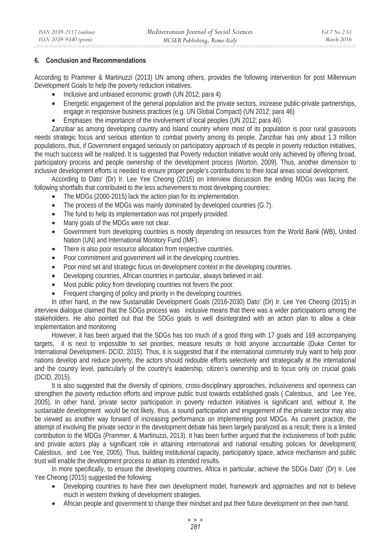#### **6. Conclusion and Recommendations**

According to Prammer & Martinuzzi (2013) UN among others, provides the following intervention for post Millennium Development Goals to help the poverty reduction initiatives.

- Inclusive and unbiased economic growth (UN 2012; para 4)
- Energetic engagement of the general population and the private sectors, increase public-private partnerships, engage in responsive business practices (e.g. UN Global Compact) (UN 2012; para 46)
- Emphases the importance of the involvement of local peoples (UN 2012; para 46)

Zanzibar as among developing country and Island country where most of its population is poor rural grassroots needs strategic focus and serious attention to combat poverty among its people. Zanzibar has only about 1.3 million populations, thus, if Government engaged seriously on participatory approach of its people in poverty reduction initiatives, the much success will be realized. It is suggested that Poverty reduction initiative would only achieved by offering broad, participatory process and people ownership of the development process (Worton, 2009). Thus, another dimension to inclusive development efforts is needed to ensure proper people's contributions to their local areas social development.

According to Dato' (Dr) Ir. Lee Yee Cheong (2015) on interview discussion the ending MDGs was facing the following shortfalls that contributed to the less achievement to most developing countries:

- The MDGs (2000-2015) lack the action plan for its implementation.
- The process of the MDGs was mainly dominated by developed countries (G.7).
- The fund to help its implementation was not properly provided.
- Many goals of the MDGs were not clear.
- Government from developing countries is mostly depending on resources from the World Bank (WB), United Nation (UN) and International Monitory Fund (IMF).
- There is also poor resource allocation from respective countries.
- Poor commitment and government will in the developing countries.
- Poor mind set and strategic focus on development context in the developing countries.
- Developing countries, African countries in particular, always believed in aid.
- Most public policy from developing countries not fevers the poor.
- Frequent changing of policy and priority in the developing countries.

In other hand, in the new Sustainable Development Goals (2016-2030) Dato' (Dr) Ir. Lee Yee Cheong (2015) in interview dialogue claimed that the SDGs process was inclusive means that there was a wider participations among the stakeholders. He also pointed out that the SDGs goals is well disintegrated with an action plan to allow a clear implementation and monitoring

However, it has been argued that the SDGs has too much of a good thing with 17 goals and 169 accompanying targets, it is next to impossible to set priorities, measure results or hold anyone accountable (Duke Center for International Development- DCID, 2015). Thus, it is suggested that if the international community truly want to help poor nations develop and reduce poverty, the actors should redouble efforts selectively and strategically at the international and the country level, particularly of the country's leadership, citizen's ownership and to focus only on crucial goals (DCID, 2015).

It is also suggested that the diversity of opinions, cross-disciplinary approaches, inclusiveness and openness can strengthen the poverty reduction efforts and improve public trust towards established goals ( Calestous, and Lee Yee, 2005). In other hand, private sector participation in poverty reduction initiatives is significant and, without it, the sustainable development would be not likely, thus, a sound participation and engagement of the private sector may also be viewed as another way forward of increasing performance on implementing post MDGs. As current practice, the attempt of involving the private sector in the development debate has been largely paralyzed as a result; there is a limited contribution to the MDGs (Prammer, & Martinuzzi, 2013). It has been further argued that the inclusiveness of both public and private actors play a significant role in attaining international and national resulting policies for development( Calestous, and Lee Yee, 2005). Thus, building institutional capacity, participatory space, advice mechanism and public trust will enable the development process to attain its intended results.

In more specifically, to ensure the developing countries, Africa in particular, achieve the SDGs Dato' (Dr) Ir. Lee Yee Cheong (2015) suggested the following:

- Developing countries to have their own development model, framework and approaches and not to believe much in western thinking of development strategies.
- African people and government to change their mindset and put their future development on their own hand.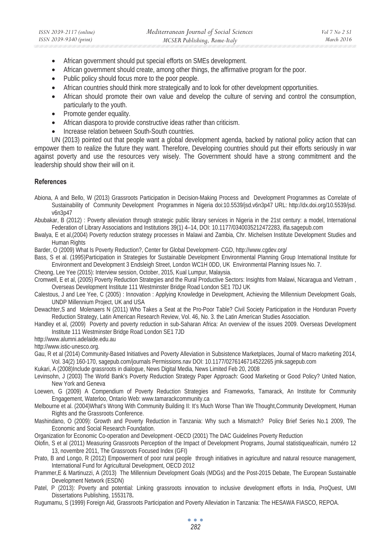- African government should put special efforts on SMEs development.
- African government should create, among other things, the affirmative program for the poor.
- Public policy should focus more to the poor people.
- African countries should think more strategically and to look for other development opportunities.
- African should promote their own value and develop the culture of serving and control the consumption, particularly to the youth.
- Promote gender equality.
- African diaspora to provide constructive ideas rather than criticism.
- Increase relation between South-South countries.

UN (2013) pointed out that people want a global development agenda, backed by national policy action that can empower them to realize the future they want. Therefore, Developing countries should put their efforts seriously in war against poverty and use the resources very wisely. The Government should have a strong commitment and the leadership should show their will on it.

### **References**

- Abiona, A and Bello, W (2013) Grassroots Participation in Decision-Making Process and Development Programmes as Correlate of Sustainability of Community Development Programmes in Nigeria doi:10.5539/jsd.v6n3p47 URL: http://dx.doi.org/10.5539/jsd. v6n3p47
- Abubakar, B (2012) : Poverty alleviation through strategic public library services in Nigeria in the 21st century: a model, International Federation of Library Associations and Institutions 39(1) 4–14, DOI: 10.1177/0340035212472283, ifla.sagepub.com
- Bwalya, E et al,(2004) Poverty reduction strategy processes in Malawi and Zambia, Chr. Michelsen Institute Development Studies and Human Rights
- Barder, O (2009) What Is Poverty Reduction?, Center for Global Development- CGD, http://www.cgdev.org/
- Bass, S et al. (1995)Participation in Strategies for Sustainable Development Environmental Planning Group International Institute for Environment and Development 3 Endsleigh Street, London WC1H 0DD, UK Environmental Planning Issues No. 7.
- Cheong, Lee Yee (2015): Interview session, October, 2015, Kual Lumpur, Malaysia.
- Cromwell, E et al, (2005) Poverty Reduction Strategies and the Rural Productive Sectors: Insights from Malawi, Nicaragua and Vietnam , Overseas Development Institute 111 Westminster Bridge Road London SE1 7DJ UK
- Calestous, J and Lee Yee, C (2005) : Innovation : Applying Knowledge in Development, Achieving the Millennium Development Goals, UNDP Millennium Project, UK and USA
- Dewachter,S and Molenaers N (2011) Who Takes a Seat at the Pro-Poor Table? Civil Society Participation in the Honduran Poverty Reduction Strategy, Latin American Research Review, Vol. 46, No. 3. the Latin American Studies Association.
- Handley et al, (2009) Poverty and poverty reduction in sub-Saharan Africa: An overview of the issues 2009. Overseas Development Institute 111 Westminster Bridge Road London SE1 7JD

http://www.alumni.adelaide.edu.au

http://www.istic-unesco.org.

- Gau, R et al (2014) Community-Based Initiatives and Poverty Alleviation in Subsistence Marketplaces, Journal of Macro marketing 2014,
- Vol. 34(2) 160-170, sagepub.com/journals Permissions.nav DOI: 10.1177/0276146714522265 jmk.sagepub.com
- Kukari, A (2008)Include grassroots in dialogue, News Digital Media, News Limited Feb 20, 2008
- Levinsohn, J (2003) The World Bank's Poverty Reduction Strategy Paper Approach: Good Marketing or Good Policy? United Nation, New York and Geneva
- Loewen, G (2009) A Compendium of Poverty Reduction Strategies and Frameworks, Tamarack, An Institute for Community Engagement, Waterloo, Ontario Web: www.tamarackcommunity.ca
- Melbourne et al. (2004)What's Wrong With Community Building II: It's Much Worse Than We Thought,Community Development, Human Rights and the Grassroots Conference.
- Mashindano, O (2009): Growth and Poverty Reduction in Tanzania: Why such a Mismatch? Policy Brief Series No.1 2009, The Economic and Social Research Foundation.
- Organization for Economic Co-operation and Development -OECD (2001) The DAC Guidelines Poverty Reduction
- Olofin, S et al (2011) Measuring Grassroots Perception of the Impact of Development Programs, Journal statistiqueafricain, numéro 12 13, novembre 2011, The Grassroots Focused Index (GFI)
- Prato, B and Longo, R (2012) Empowerment of poor rural people through initiatives in agriculture and natural resource management, International Fund for Agricultural Development, OECD 2012
- Prammer,E & Martinuzzi, A (2013) The Millennium Development Goals (MDGs) and the Post-2015 Debate, The European Sustainable Development Network (ESDN)
- Patel, P (2013): Poverty and potential: Linking grassroots innovation to inclusive development efforts in India, ProQuest, UMI Dissertations Publishing, 1553178**.**
- Rugumamu, S (1999) Foreign Aid, Grassroots Participation and Poverty Alleviation in Tanzania: The HESAWA FIASCO, REPOA.